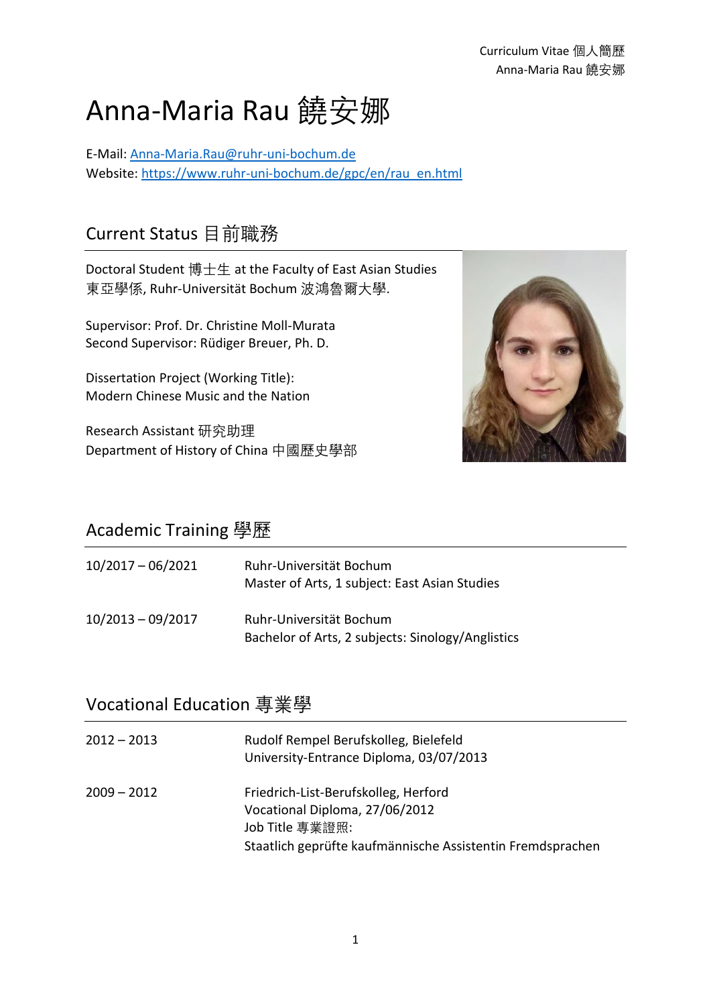# Anna-Maria Rau 饒安娜

E-Mail: [Anna-Maria.Rau@ruhr-uni-bochum.de](mailto:Anna-Maria.Rau@ruhr-uni-bochum.de) Website: [https://www.ruhr-uni-bochum.de/gpc/en/rau\\_en.html](https://www.ruhr-uni-bochum.de/gpc/en/rau_en.html)

## Current Status 目前職務

Doctoral Student 博士生 at the Faculty of East Asian Studies 東亞學係, Ruhr-Universität Bochum 波鴻魯爾大學.

Supervisor: Prof. Dr. Christine Moll-Murata Second Supervisor: Rüdiger Breuer, Ph. D.

Dissertation Project (Working Title): Modern Chinese Music and the Nation

Research Assistant 研究助理 Department of History of China 中國歷史學部



#### Academic Training 學歷

| $10/2017 - 06/2021$ | Ruhr-Universität Bochum<br>Master of Arts, 1 subject: East Asian Studies     |
|---------------------|------------------------------------------------------------------------------|
| $10/2013 - 09/2017$ | Ruhr-Universität Bochum<br>Bachelor of Arts, 2 subjects: Sinology/Anglistics |

#### Vocational Education 專業學

| $2012 - 2013$ | Rudolf Rempel Berufskolleg, Bielefeld<br>University-Entrance Diploma, 03/07/2013                                                                        |
|---------------|---------------------------------------------------------------------------------------------------------------------------------------------------------|
| $2009 - 2012$ | Friedrich-List-Berufskolleg, Herford<br>Vocational Diploma, 27/06/2012<br>Job Title 專業證照:<br>Staatlich geprüfte kaufmännische Assistentin Fremdsprachen |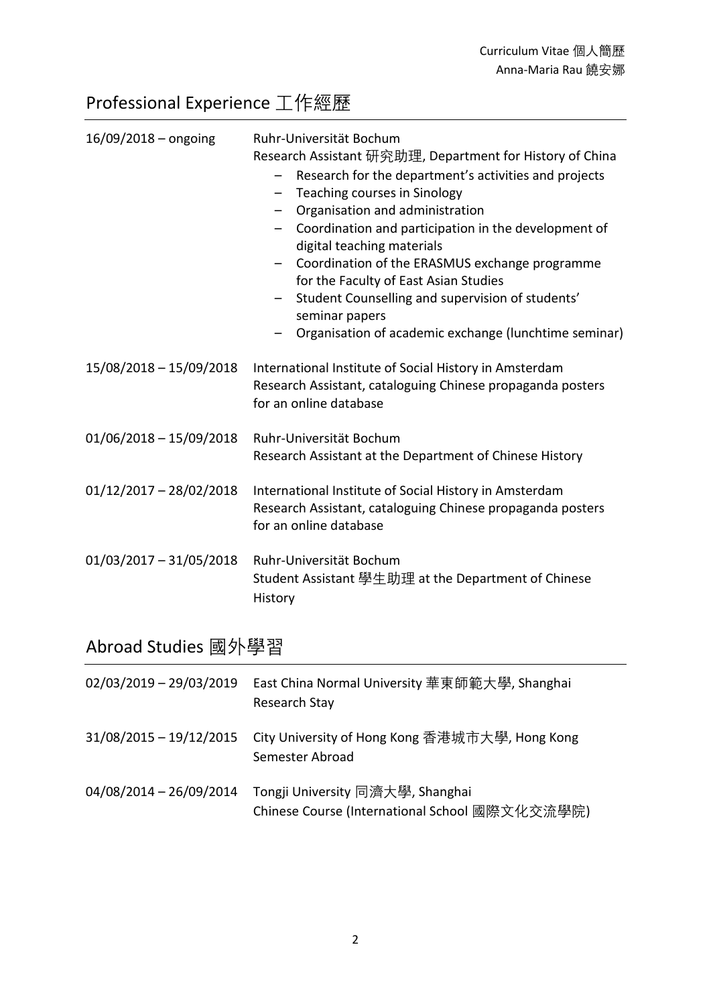# Professional Experience 工作經歷

| $16/09/2018 -$ ongoing    | Ruhr-Universität Bochum<br>Research Assistant 研究助理, Department for History of China<br>Research for the department's activities and projects<br>$\qquad \qquad -$<br>Teaching courses in Sinology<br>Organisation and administration<br>Coordination and participation in the development of<br>digital teaching materials<br>Coordination of the ERASMUS exchange programme<br>for the Faculty of East Asian Studies<br>Student Counselling and supervision of students'<br>$\qquad \qquad -$<br>seminar papers<br>Organisation of academic exchange (lunchtime seminar) |
|---------------------------|---------------------------------------------------------------------------------------------------------------------------------------------------------------------------------------------------------------------------------------------------------------------------------------------------------------------------------------------------------------------------------------------------------------------------------------------------------------------------------------------------------------------------------------------------------------------------|
| 15/08/2018 - 15/09/2018   | International Institute of Social History in Amsterdam<br>Research Assistant, cataloguing Chinese propaganda posters<br>for an online database                                                                                                                                                                                                                                                                                                                                                                                                                            |
| $01/06/2018 - 15/09/2018$ | Ruhr-Universität Bochum<br>Research Assistant at the Department of Chinese History                                                                                                                                                                                                                                                                                                                                                                                                                                                                                        |
| $01/12/2017 - 28/02/2018$ | International Institute of Social History in Amsterdam<br>Research Assistant, cataloguing Chinese propaganda posters<br>for an online database                                                                                                                                                                                                                                                                                                                                                                                                                            |
| $01/03/2017 - 31/05/2018$ | Ruhr-Universität Bochum<br>Student Assistant 學生助理 at the Department of Chinese<br>History                                                                                                                                                                                                                                                                                                                                                                                                                                                                                 |

# Abroad Studies 國外學習

| 02/03/2019 - 29/03/2019   | East China Normal University 華東師範大學, Shanghai<br>Research Stay                     |
|---------------------------|------------------------------------------------------------------------------------|
| $31/08/2015 - 19/12/2015$ | City University of Hong Kong 香港城市大學, Hong Kong<br>Semester Abroad                  |
| 04/08/2014 - 26/09/2014   | Tongji University 同濟大學, Shanghai<br>Chinese Course (International School 國際文化交流學院) |